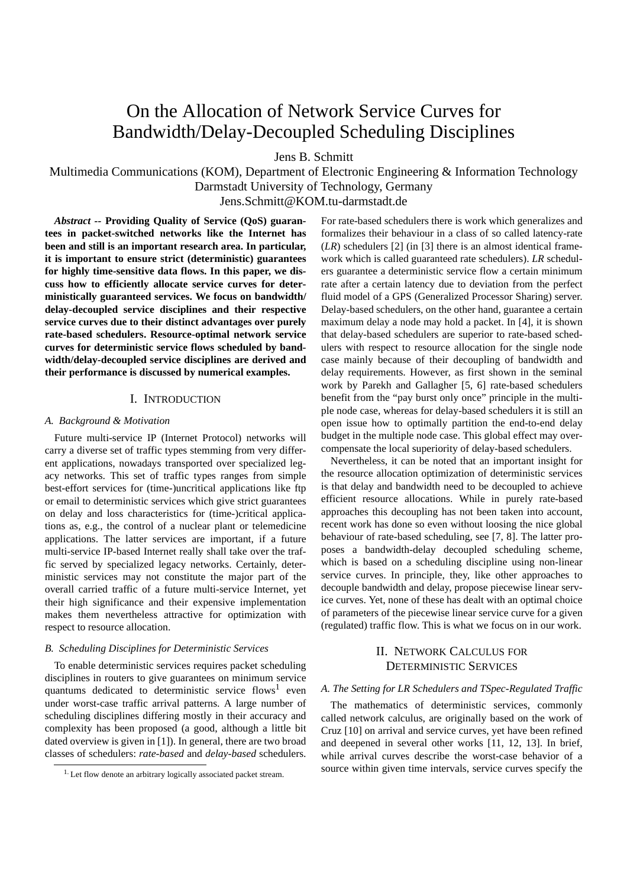# On the Allocation of Network Service Curves for Bandwidth/Delay-Decoupled Scheduling Disciplines

Jens B. Schmitt

Multimedia Communications (KOM), Department of Electronic Engineering & Information Technology Darmstadt University of Technology, Germany Jens.Schmitt@KOM.tu-darmstadt.de

*Abstract --* **Providing Quality of Service (QoS) guarantees in packet-switched networks like the Internet has been and still is an important research area. In particular, it is important to ensure strict (deterministic) guarantees for highly time-sensitive data flows. In this paper, we discuss how to efficiently allocate service curves for deterministically guaranteed services. We focus on bandwidth/ delay-decoupled service disciplines and their respective service curves due to their distinct advantages over purely rate-based schedulers. Resource-optimal network service curves for deterministic service flows scheduled by bandwidth/delay-decoupled service disciplines are derived and their performance is discussed by numerical examples.**

## I. INTRODUCTION

## *A. Background & Motivation*

Future multi-service IP (Internet Protocol) networks will carry a diverse set of traffic types stemming from very different applications, nowadays transported over specialized legacy networks. This set of traffic types ranges from simple best-effort services for (time-)uncritical applications like ftp or email to deterministic services which give strict guarantees on delay and loss characteristics for (time-)critical applications as, e.g., the control of a nuclear plant or telemedicine applications. The latter services are important, if a future multi-service IP-based Internet really shall take over the traffic served by specialized legacy networks. Certainly, deterministic services may not constitute the major part of the overall carried traffic of a future multi-service Internet, yet their high significance and their expensive implementation makes them nevertheless attractive for optimization with respect to resource allocation.

#### *B. Scheduling Disciplines for Deterministic Services*

To enable deterministic services requires packet scheduling disciplines in routers to give guarantees on minimum service quantums dedicated to deterministic service flows<sup>1</sup> even under worst-case traffic arrival patterns. A large number of scheduling disciplines differing mostly in their accuracy and complexity has been proposed (a good, although a little bit dated overview is given in [1]). In general, there are two broad classes of schedulers: *rate-based* and *delay-based* schedulers.

For rate-based schedulers there is work which generalizes and formalizes their behaviour in a class of so called latency-rate (*LR*) schedulers [2] (in [3] there is an almost identical framework which is called guaranteed rate schedulers). *LR* schedulers guarantee a deterministic service flow a certain minimum rate after a certain latency due to deviation from the perfect fluid model of a GPS (Generalized Processor Sharing) server. Delay-based schedulers, on the other hand, guarantee a certain maximum delay a node may hold a packet. In [4], it is shown that delay-based schedulers are superior to rate-based schedulers with respect to resource allocation for the single node case mainly because of their decoupling of bandwidth and delay requirements. However, as first shown in the seminal work by Parekh and Gallagher [5, 6] rate-based schedulers benefit from the "pay burst only once" principle in the multiple node case, whereas for delay-based schedulers it is still an open issue how to optimally partition the end-to-end delay budget in the multiple node case. This global effect may overcompensate the local superiority of delay-based schedulers.

Nevertheless, it can be noted that an important insight for the resource allocation optimization of deterministic services is that delay and bandwidth need to be decoupled to achieve efficient resource allocations. While in purely rate-based approaches this decoupling has not been taken into account, recent work has done so even without loosing the nice global behaviour of rate-based scheduling, see [7, 8]. The latter proposes a bandwidth-delay decoupled scheduling scheme, which is based on a scheduling discipline using non-linear service curves. In principle, they, like other approaches to decouple bandwidth and delay, propose piecewise linear service curves. Yet, none of these has dealt with an optimal choice of parameters of the piecewise linear service curve for a given (regulated) traffic flow. This is what we focus on in our work.

# II. NETWORK CALCULUS FOR DETERMINISTIC SERVICES

#### *A. The Setting for LR Schedulers and TSpec-Regulated Traffic*

The mathematics of deterministic services, commonly called network calculus, are originally based on the work of Cruz [10] on arrival and service curves, yet have been refined and deepened in several other works [11, 12, 13]. In brief, while arrival curves describe the worst-case behavior of a source within given time intervals, service curves specify the

 $<sup>1</sup>$ . Let flow denote an arbitrary logically associated packet stream.</sup>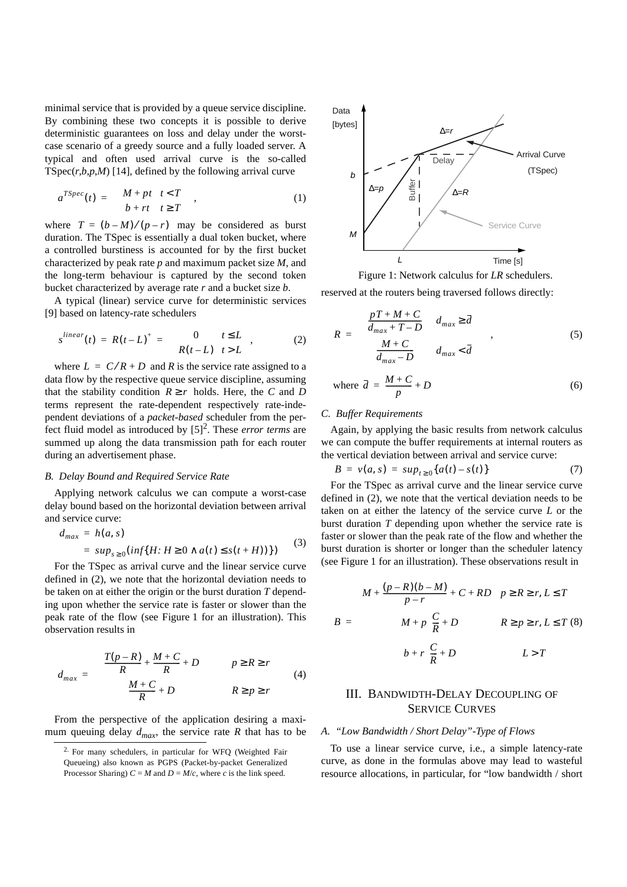minimal service that is provided by a queue service discipline. By combining these two concepts it is possible to derive deterministic guarantees on loss and delay under the worstcase scenario of a greedy source and a fully loaded server. A typical and often used arrival curve is the so-called TSpec $(r, b, p, M)$  [14], defined by the following arrival curve

$$
a^{TSpec}(t) = \begin{cases} M+pt & t < T \\ b+rt & t \ge T \end{cases}
$$
 (1)

where  $T = (b - M) / (p - r)$  may be considered as burst duration. The TSpec is essentially a dual token bucket, where a controlled burstiness is accounted for by the first bucket characterized by peak rate *p* and maximum packet size *M*, and the long-term behaviour is captured by the second token bucket characterized by average rate *r* and a bucket size *b*.

A typical (linear) service curve for deterministic services [9] based on latency-rate schedulers

$$
s^{linear}(t) = R(t-L)^{+} = \begin{cases} 0 & t \le L \\ R(t-L) & t > L \end{cases}
$$
 (2)

where  $L = C/R + D$  and *R* is the service rate assigned to a data flow by the respective queue service discipline, assuming that the stability condition  $R \ge r$  holds. Here, the *C* and *D* terms represent the rate-dependent respectively rate-independent deviations of a *packet-based* scheduler from the perfect fluid model as introduced by [5] 2 . These *error terms* are summed up along the data transmission path for each router during an advertisement phase.

#### *B. Delay Bound and Required Service Rate*

 $\mathbf{r}$ 

Applying network calculus we can compute a worst-case delay bound based on the horizontal deviation between arrival and service curve:

$$
d_{max} = h(a, s)
$$
  
=  $sup_{s \ge 0} (inf{H: H \ge 0 \land a(t) \le s(t+H)) }$  (3)

For the TSpec as arrival curve and the linear service curve defined in (2), we note that the horizontal deviation needs to be taken on at either the origin or the burst duration *T* depending upon whether the service rate is faster or slower than the peak rate of the flow (see Figure 1 for an illustration). This observation results in

$$
d_{max} = \begin{cases} \frac{T(p-R)}{R} + \frac{M+C}{R} + D & p \ge R \ge r\\ \frac{M+C}{R} + D & R \ge p \ge r \end{cases} \tag{4}
$$

From the perspective of the application desiring a maximum queuing delay  $d_{max}$ , the service rate *R* that has to be



reserved at the routers being traversed follows directly: Figure 1: Network calculus for *LR* schedulers.

$$
R = \begin{cases} \frac{pT + M + C}{d_{max} + T - D} & d_{max} \ge \overline{d} \\ \frac{M + C}{d_{max} - D} & d_{max} < \overline{d} \end{cases}
$$
 (5)

where 
$$
\bar{d} = \frac{M+C}{p} + D
$$
 (6)

#### *C. Buffer Requirements*

Again, by applying the basic results from network calculus we can compute the buffer requirements at internal routers as the vertical deviation between arrival and service curve:

$$
B = v(a, s) = sup_{t \ge 0} \{a(t) - s(t)\}
$$
 (7)

For the TSpec as arrival curve and the linear service curve defined in (2), we note that the vertical deviation needs to be taken on at either the latency of the service curve *L* or the burst duration *T* depending upon whether the service rate is faster or slower than the peak rate of the flow and whether the burst duration is shorter or longer than the scheduler latency (see Figure 1 for an illustration). These observations result in

$$
B = \begin{cases} M + \frac{(p - R)(b - M)}{p - r} + C + RD & p \ge R \ge r, L \le T \\ M + p\left(\frac{C}{R} + D\right) & R \ge p \ge r, L \le T \text{ (8)} \\ b + r\left(\frac{C}{R} + D\right) & L > T \end{cases}
$$

# III. BANDWIDTH-DELAY DECOUPLING OF SERVICE CURVES

## *A. "Low Bandwidth / Short Delay"-Type of Flows*

To use a linear service curve, i.e., a simple latency-rate curve, as done in the formulas above may lead to wasteful resource allocations, in particular, for "low bandwidth / short

<sup>&</sup>lt;sup>2.</sup> For many schedulers, in particular for WFQ (Weighted Fair Queueing) also known as PGPS (Packet-by-packet Generalized Processor Sharing)  $C = M$  and  $D = M/c$ , where *c* is the link speed.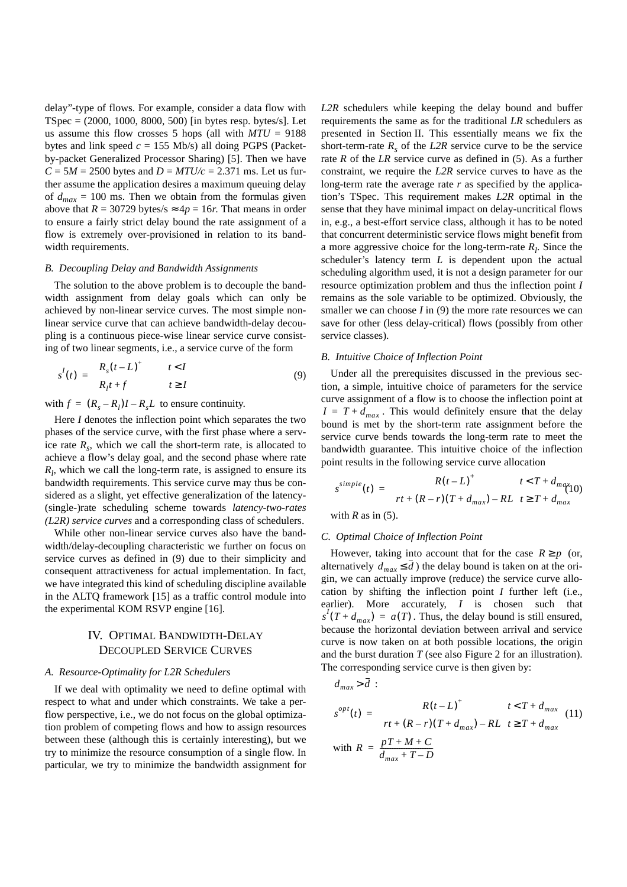delay"-type of flows. For example, consider a data flow with TSpec =  $(2000, 1000, 8000, 500)$  [in bytes resp. bytes/s]. Let us assume this flow crosses 5 hops (all with  $MTU = 9188$ ) bytes and link speed  $c = 155$  Mb/s) all doing PGPS (Packetby-packet Generalized Processor Sharing) [5]. Then we have  $C = 5M = 2500$  bytes and  $D = MTU/c = 2.371$  ms. Let us further assume the application desires a maximum queuing delay of  $d_{max} = 100$  ms. Then we obtain from the formulas given above that  $R = 30729$  bytes/s  $\approx 4p = 16r$ . That means in order to ensure a fairly strict delay bound the rate assignment of a flow is extremely over-provisioned in relation to its bandwidth requirements.

#### *B. Decoupling Delay and Bandwidth Assignments*

The solution to the above problem is to decouple the bandwidth assignment from delay goals which can only be achieved by non-linear service curves. The most simple nonlinear service curve that can achieve bandwidth-delay decoupling is a continuous piece-wise linear service curve consisting of two linear segments, i.e., a service curve of the form

$$
s^{I}(t) = \begin{cases} R_s(t-L)^+ & t < I \\ R_l t + f & t \ge I \end{cases}
$$
 (9)

with  $f = (R_s - R_l)I - R_sL$  to ensure continuity.

Here *I* denotes the inflection point which separates the two phases of the service curve, with the first phase where a service rate  $R_s$ , which we call the short-term rate, is allocated to achieve a flow's delay goal, and the second phase where rate  $R_l$ , which we call the long-term rate, is assigned to ensure its bandwidth requirements. This service curve may thus be considered as a slight, yet effective generalization of the latency- (single-)rate scheduling scheme towards *latency-two-rates (L2R) service curves* and a corresponding class of schedulers.

While other non-linear service curves also have the bandwidth/delay-decoupling characteristic we further on focus on service curves as defined in (9) due to their simplicity and consequent attractiveness for actual implementation. In fact, we have integrated this kind of scheduling discipline available in the ALTQ framework [15] as a traffic control module into the experimental KOM RSVP engine [16].

# IV. OPTIMAL BANDWIDTH-DELAY DECOUPLED SERVICE CURVES

#### *A. Resource-Optimality for L2R Schedulers*

If we deal with optimality we need to define optimal with respect to what and under which constraints. We take a perflow perspective, i.e., we do not focus on the global optimization problem of competing flows and how to assign resources between these (although this is certainly interesting), but we try to minimize the resource consumption of a single flow. In particular, we try to minimize the bandwidth assignment for *L2R* schedulers while keeping the delay bound and buffer requirements the same as for the traditional *LR* schedulers as presented in Section II. This essentially means we fix the short-term-rate  $R_s$  of the  $L2R$  service curve to be the service rate *R* of the *LR* service curve as defined in (5). As a further constraint, we require the *L2R* service curves to have as the long-term rate the average rate  $r$  as specified by the application's TSpec. This requirement makes *L2R* optimal in the sense that they have minimal impact on delay-uncritical flows in, e.g., a best-effort service class, although it has to be noted that concurrent deterministic service flows might benefit from a more aggressive choice for the long-term-rate *R<sup>l</sup>* . Since the scheduler's latency term *L* is dependent upon the actual scheduling algorithm used, it is not a design parameter for our resource optimization problem and thus the inflection point *I* remains as the sole variable to be optimized. Obviously, the smaller we can choose *I* in (9) the more rate resources we can save for other (less delay-critical) flows (possibly from other service classes).

#### *B. Intuitive Choice of Inflection Point*

Under all the prerequisites discussed in the previous section, a simple, intuitive choice of parameters for the service curve assignment of a flow is to choose the inflection point at  $I = T + d_{max}$ . This would definitely ensure that the delay bound is met by the short-term rate assignment before the service curve bends towards the long-term rate to meet the bandwidth guarantee. This intuitive choice of the inflection point results in the following service curve allocation

$$
s^{simple}(t) = \begin{cases} R(t-L)^+ & t < T + d_{max}(10) \\ rt + (R-r)(T + d_{max}) - RL & t \ge T + d_{max} \end{cases}
$$
  
with *R* as in (5).

## *C. Optimal Choice of Inflection Point*

However, taking into account that for the case  $R \ge p$  (or, alternatively  $d_{max} \le d$ ) the delay bound is taken on at the origin, we can actually improve (reduce) the service curve allocation by shifting the inflection point *I* further left (i.e., earlier). More accurately, *I* is chosen such that  $s^I(T + d_{max}) = a(T)$ . Thus, the delay bound is still ensured, because the horizontal deviation between arrival and service curve is now taken on at both possible locations, the origin and the burst duration *T* (see also Figure 2 for an illustration). The corresponding service curve is then given by:

$$
d_{max} > d
$$
:  
\n
$$
s^{opt}(t) = \begin{cases} R(t-L)^{+} & t < T + d_{max} \\ rt + (R-r)(T + d_{max}) - RL & t \ge T + d_{max} \end{cases}
$$
 (11)  
\nwith 
$$
R = \frac{pT + M + C}{d_{max} + T - D}
$$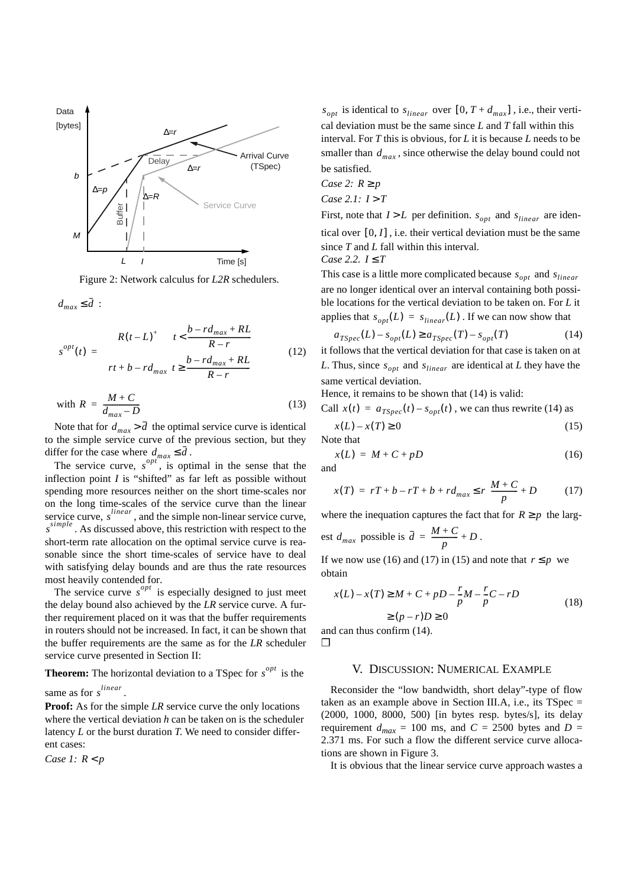

Figure 2: Network calculus for *L2R* schedulers.

 $d_{max} \leq d$ :

$$
s^{opt}(t) = \begin{cases} R(t-L)^{+} & t < \frac{b-rd_{max} + RL}{R-r} \\ rt + b - rd_{max} & t \ge \frac{b-rd_{max} + RL}{R-r} \end{cases} \tag{12}
$$

with 
$$
R = \frac{M + C}{d_{max} - D}
$$
 (13)

Note that for  $d_{max} > d$  the optimal service curve is identical to the simple service curve of the previous section, but they differ for the case where  $d_{max} \le d$ .

The service curve,  $s^{opt}$ , is optimal in the sense that the inflection point *I* is "shifted" as far left as possible without spending more resources neither on the short time-scales nor on the long time-scales of the service curve than the linear service curve,  $s^{linear}$ , and the simple non-linear service curve, . As discussed above, this restriction with respect to the *s simple* short-term rate allocation on the optimal service curve is reasonable since the short time-scales of service have to deal with satisfying delay bounds and are thus the rate resources most heavily contended for.

The service curve  $s^{opt}$  is especially designed to just meet the delay bound also achieved by the *LR* service curve. A further requirement placed on it was that the buffer requirements in routers should not be increased. In fact, it can be shown that the buffer requirements are the same as for the *LR* scheduler service curve presented in Section II:

**Theorem:** The horizontal deviation to a TSpec for  $s^{opt}$  is the same as for  $s^{linear}$ .

**Proof:** As for the simple *LR* service curve the only locations where the vertical deviation *h* can be taken on is the scheduler latency *L* or the burst duration *T*. We need to consider different cases:

*Case 1: R* < *p*

 $s_{opt}$  is identical to  $s_{linear}$  over  $[0, T + d_{max}]$ , i.e., their vertical deviation must be the same since *L* and *T* fall within this interval. For *T* this is obvious, for *L* it is because *L* needs to be smaller than  $d_{max}$ , since otherwise the delay bound could not be satisfied.

*Case* 2:  $R \geq p$ 

*Case 2.1: I* > *T*

First, note that  $I > L$  per definition.  $s_{opt}$  and  $s_{linear}$  are identical over  $[0, I]$ , i.e. their vertical deviation must be the same since *T* and *L* fall within this interval.

*Case 2.2. I* ≤ *T*

This case is a little more complicated because  $s_{opt}$  and  $s_{linear}$ are no longer identical over an interval containing both possible locations for the vertical deviation to be taken on. For *L* it applies that  $s_{opt}(L) = s_{linear}(L)$ . If we can now show that

$$
a_{TSpec}(L) - s_{opt}(L) \ge a_{TSpec}(T) - s_{opt}(T)
$$
\n(14)

it follows that the vertical deviation for that case is taken on at *L*. Thus, since  $s_{opt}$  and  $s_{linear}$  are identical at *L* they have the same vertical deviation.

Hence, it remains to be shown that (14) is valid:

Call  $x(t) = a_{TSpec}(t) - s_{opt}(t)$ , we can thus rewrite (14) as

$$
x(L) - x(T) \ge 0
$$
 (15)  
Note that

$$
x(L) = M + C + pD \tag{16}
$$

and

$$
x(T) = rT + b - rT + b + rd_{max} \le r\left(\frac{M+C}{p} + D\right) \tag{17}
$$

where the inequation captures the fact that for  $R \geq p$  the larg-

est 
$$
d_{max}
$$
 possible is  $\overline{d} = \frac{M+C}{p} + D$ .

If we now use (16) and (17) in (15) and note that  $r \leq p$  we obtain

$$
x(L) - x(T) \ge M + C + pD - \frac{r}{p}M - \frac{r}{p}C - rD
$$
  
 
$$
\ge (p - r)D \ge 0
$$
 (18)

and can thus confirm (14).

❒

### V. DISCUSSION: NUMERICAL EXAMPLE

Reconsider the "low bandwidth, short delay"-type of flow taken as an example above in Section III.A, i.e., its TSpec = (2000, 1000, 8000, 500) [in bytes resp. bytes/s], its delay requirement  $d_{max} = 100$  ms, and  $C = 2500$  bytes and  $D =$ 2.371 ms. For such a flow the different service curve allocations are shown in Figure 3.

It is obvious that the linear service curve approach wastes a